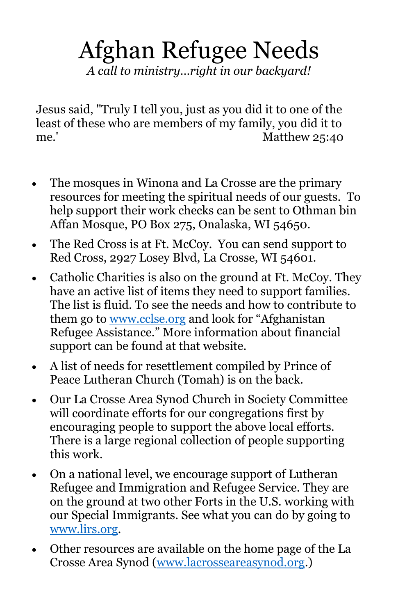## Afghan Refugee Needs *A call to ministry…right in our backyard!*

Jesus said, "Truly I tell you, just as you did it to one of the least of these who are members of my family, you did it to me.' Matthew 25:40

- The mosques in Winona and La Crosse are the primary resources for meeting the spiritual needs of our guests. To help support their work checks can be sent to Othman bin Affan Mosque, PO Box 275, Onalaska, WI 54650.
- The Red Cross is at Ft. McCoy. You can send support to Red Cross, 2927 Losey Blvd, La Crosse, WI 54601.
- Catholic Charities is also on the ground at Ft. McCoy. They have an active list of items they need to support families. The list is fluid. To see the needs and how to contribute to them go to [www.cclse.org](http://www.cclse.org/) and look for "Afghanistan Refugee Assistance." More information about financial support can be found at that website.
- A list of needs for resettlement compiled by Prince of Peace Lutheran Church (Tomah) is on the back.
- Our La Crosse Area Synod Church in Society Committee will coordinate efforts for our congregations first by encouraging people to support the above local efforts. There is a large regional collection of people supporting this work.
- On a national level, we encourage support of Lutheran Refugee and Immigration and Refugee Service. They are on the ground at two other Forts in the U.S. working with our Special Immigrants. See what you can do by going to [www.lirs.org.](http://www.lirs.org/)
- Other resources are available on the home page of the La Crosse Area Synod [\(www.lacrosseareasynod.org.](http://www.lacrosseareasynod.org/))